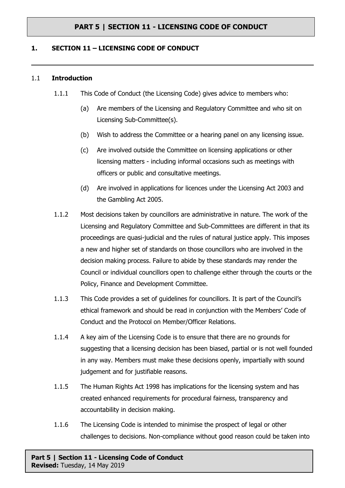## **1. SECTION 11 – LICENSING CODE OF CONDUCT**

#### 1.1 **Introduction**

- 1.1.1 This Code of Conduct (the Licensing Code) gives advice to members who:
	- (a) Are members of the Licensing and Regulatory Committee and who sit on Licensing Sub-Committee(s).
	- (b) Wish to address the Committee or a hearing panel on any licensing issue.
	- (c) Are involved outside the Committee on licensing applications or other licensing matters - including informal occasions such as meetings with officers or public and consultative meetings.
	- (d) Are involved in applications for licences under the Licensing Act 2003 and the Gambling Act 2005.
- 1.1.2 Most decisions taken by councillors are administrative in nature. The work of the Licensing and Regulatory Committee and Sub-Committees are different in that its proceedings are quasi-judicial and the rules of natural justice apply. This imposes a new and higher set of standards on those councillors who are involved in the decision making process. Failure to abide by these standards may render the Council or individual councillors open to challenge either through the courts or the Policy, Finance and Development Committee.
- 1.1.3 This Code provides a set of guidelines for councillors. It is part of the Council's ethical framework and should be read in conjunction with the Members' Code of Conduct and the Protocol on Member/Officer Relations.
- 1.1.4 A key aim of the Licensing Code is to ensure that there are no grounds for suggesting that a licensing decision has been biased, partial or is not well founded in any way. Members must make these decisions openly, impartially with sound judgement and for justifiable reasons.
- 1.1.5 The Human Rights Act 1998 has implications for the licensing system and has created enhanced requirements for procedural fairness, transparency and accountability in decision making.
- 1.1.6 The Licensing Code is intended to minimise the prospect of legal or other challenges to decisions. Non-compliance without good reason could be taken into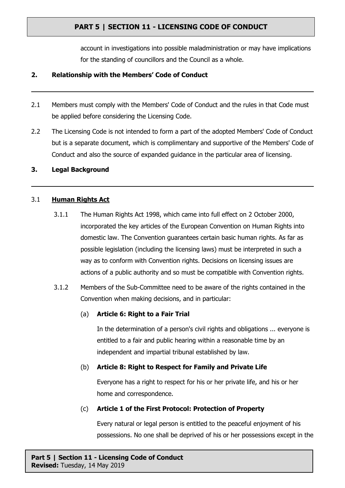account in investigations into possible maladministration or may have implications for the standing of councillors and the Council as a whole.

### **2. Relationship with the Members' Code of Conduct**

- 2.1 Members must comply with the Members' Code of Conduct and the rules in that Code must be applied before considering the Licensing Code.
- 2.2 The Licensing Code is not intended to form a part of the adopted Members' Code of Conduct but is a separate document, which is complimentary and supportive of the Members' Code of Conduct and also the source of expanded guidance in the particular area of licensing.

#### **3. Legal Background**

#### 3.1 **Human Rights Act**

- 3.1.1 The Human Rights Act 1998, which came into full effect on 2 October 2000, incorporated the key articles of the European Convention on Human Rights into domestic law. The Convention guarantees certain basic human rights. As far as possible legislation (including the licensing laws) must be interpreted in such a way as to conform with Convention rights. Decisions on licensing issues are actions of a public authority and so must be compatible with Convention rights.
- 3.1.2 Members of the Sub-Committee need to be aware of the rights contained in the Convention when making decisions, and in particular:

### (a) **Article 6: Right to a Fair Trial**

In the determination of a person's civil rights and obligations ... everyone is entitled to a fair and public hearing within a reasonable time by an independent and impartial tribunal established by law.

#### (b) **Article 8: Right to Respect for Family and Private Life**

Everyone has a right to respect for his or her private life, and his or her home and correspondence.

### (c) **Article 1 of the First Protocol: Protection of Property**

Every natural or legal person is entitled to the peaceful enjoyment of his possessions. No one shall be deprived of his or her possessions except in the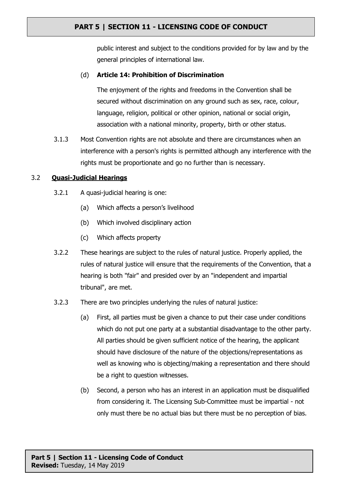public interest and subject to the conditions provided for by law and by the general principles of international law.

## (d) **Article 14: Prohibition of Discrimination**

The enjoyment of the rights and freedoms in the Convention shall be secured without discrimination on any ground such as sex, race, colour, language, religion, political or other opinion, national or social origin, association with a national minority, property, birth or other status.

3.1.3 Most Convention rights are not absolute and there are circumstances when an interference with a person's rights is permitted although any interference with the rights must be proportionate and go no further than is necessary.

#### 3.2 **Quasi-Judicial Hearings**

- 3.2.1 A quasi-judicial hearing is one:
	- (a) Which affects a person's livelihood
	- (b) Which involved disciplinary action
	- (c) Which affects property
- 3.2.2 These hearings are subject to the rules of natural justice. Properly applied, the rules of natural justice will ensure that the requirements of the Convention, that a hearing is both "fair" and presided over by an "independent and impartial tribunal", are met.
- 3.2.3 There are two principles underlying the rules of natural justice:
	- (a) First, all parties must be given a chance to put their case under conditions which do not put one party at a substantial disadvantage to the other party. All parties should be given sufficient notice of the hearing, the applicant should have disclosure of the nature of the objections/representations as well as knowing who is objecting/making a representation and there should be a right to question witnesses.
	- (b) Second, a person who has an interest in an application must be disqualified from considering it. The Licensing Sub-Committee must be impartial - not only must there be no actual bias but there must be no perception of bias.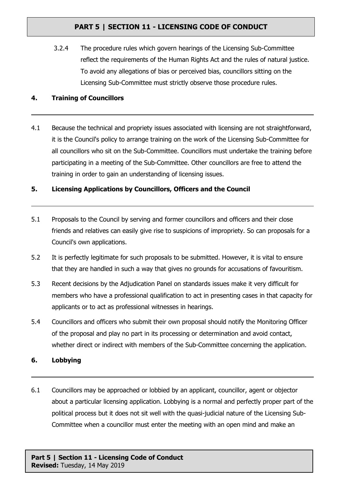3.2.4 The procedure rules which govern hearings of the Licensing Sub-Committee reflect the requirements of the Human Rights Act and the rules of natural justice. To avoid any allegations of bias or perceived bias, councillors sitting on the Licensing Sub-Committee must strictly observe those procedure rules.

## **4. Training of Councillors**

4.1 Because the technical and propriety issues associated with licensing are not straightforward, it is the Council's policy to arrange training on the work of the Licensing Sub-Committee for all councillors who sit on the Sub-Committee. Councillors must undertake the training before participating in a meeting of the Sub-Committee. Other councillors are free to attend the training in order to gain an understanding of licensing issues.

## **5. Licensing Applications by Councillors, Officers and the Council**

- 5.1 Proposals to the Council by serving and former councillors and officers and their close friends and relatives can easily give rise to suspicions of impropriety. So can proposals for a Council's own applications.
- 5.2 It is perfectly legitimate for such proposals to be submitted. However, it is vital to ensure that they are handled in such a way that gives no grounds for accusations of favouritism.
- 5.3 Recent decisions by the Adjudication Panel on standards issues make it very difficult for members who have a professional qualification to act in presenting cases in that capacity for applicants or to act as professional witnesses in hearings.
- 5.4 Councillors and officers who submit their own proposal should notify the Monitoring Officer of the proposal and play no part in its processing or determination and avoid contact, whether direct or indirect with members of the Sub-Committee concerning the application.
- **6. Lobbying**
- 6.1 Councillors may be approached or lobbied by an applicant, councillor, agent or objector about a particular licensing application. Lobbying is a normal and perfectly proper part of the political process but it does not sit well with the quasi-judicial nature of the Licensing Sub-Committee when a councillor must enter the meeting with an open mind and make an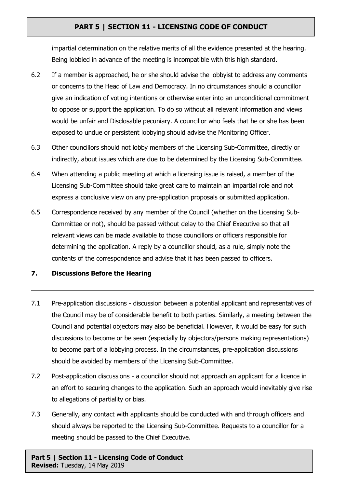impartial determination on the relative merits of all the evidence presented at the hearing. Being lobbied in advance of the meeting is incompatible with this high standard.

- 6.2 If a member is approached, he or she should advise the lobbyist to address any comments or concerns to the Head of Law and Democracy. In no circumstances should a councillor give an indication of voting intentions or otherwise enter into an unconditional commitment to oppose or support the application. To do so without all relevant information and views would be unfair and Disclosable pecuniary. A councillor who feels that he or she has been exposed to undue or persistent lobbying should advise the Monitoring Officer.
- 6.3 Other councillors should not lobby members of the Licensing Sub-Committee, directly or indirectly, about issues which are due to be determined by the Licensing Sub-Committee.
- 6.4 When attending a public meeting at which a licensing issue is raised, a member of the Licensing Sub-Committee should take great care to maintain an impartial role and not express a conclusive view on any pre-application proposals or submitted application.
- 6.5 Correspondence received by any member of the Council (whether on the Licensing Sub-Committee or not), should be passed without delay to the Chief Executive so that all relevant views can be made available to those councillors or officers responsible for determining the application. A reply by a councillor should, as a rule, simply note the contents of the correspondence and advise that it has been passed to officers.

### **7. Discussions Before the Hearing**

- 7.1 Pre-application discussions discussion between a potential applicant and representatives of the Council may be of considerable benefit to both parties. Similarly, a meeting between the Council and potential objectors may also be beneficial. However, it would be easy for such discussions to become or be seen (especially by objectors/persons making representations) to become part of a lobbying process. In the circumstances, pre-application discussions should be avoided by members of the Licensing Sub-Committee.
- 7.2 Post-application discussions a councillor should not approach an applicant for a licence in an effort to securing changes to the application. Such an approach would inevitably give rise to allegations of partiality or bias.
- 7.3 Generally, any contact with applicants should be conducted with and through officers and should always be reported to the Licensing Sub-Committee. Requests to a councillor for a meeting should be passed to the Chief Executive.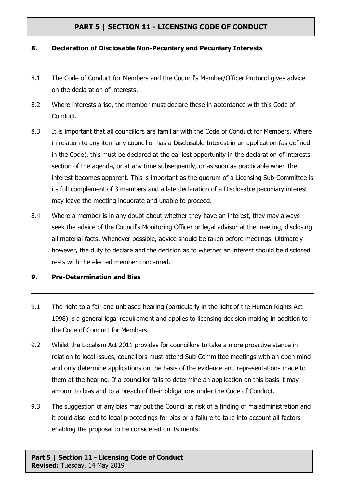#### **8. Declaration of Disclosable Non-Pecuniary and Pecuniary Interests**

- 8.1 The Code of Conduct for Members and the Council's Member/Officer Protocol gives advice on the declaration of interests.
- 8.2 Where interests arise, the member must declare these in accordance with this Code of Conduct.
- 8.3 It is important that all councillors are familiar with the Code of Conduct for Members. Where in relation to any item any councillor has a Disclosable Interest in an application (as defined in the Code), this must be declared at the earliest opportunity in the declaration of interests section of the agenda, or at any time subsequently, or as soon as practicable when the interest becomes apparent. This is important as the quorum of a Licensing Sub-Committee is its full complement of 3 members and a late declaration of a Disclosable pecuniary interest may leave the meeting inquorate and unable to proceed.
- 8.4 Where a member is in any doubt about whether they have an interest, they may always seek the advice of the Council's Monitoring Officer or legal advisor at the meeting, disclosing all material facts. Whenever possible, advice should be taken before meetings. Ultimately however, the duty to declare and the decision as to whether an interest should be disclosed rests with the elected member concerned.

#### **9. Pre-Determination and Bias**

- 9.1 The right to a fair and unbiased hearing (particularly in the light of the Human Rights Act 1998) is a general legal requirement and applies to licensing decision making in addition to the Code of Conduct for Members.
- 9.2 Whilst the Localism Act 2011 provides for councillors to take a more proactive stance in relation to local issues, councillors must attend Sub-Committee meetings with an open mind and only determine applications on the basis of the evidence and representations made to them at the hearing. If a councillor fails to determine an application on this basis it may amount to bias and to a breach of their obligations under the Code of Conduct.
- 9.3 The suggestion of any bias may put the Council at risk of a finding of maladministration and it could also lead to legal proceedings for bias or a failure to take into account all factors enabling the proposal to be considered on its merits.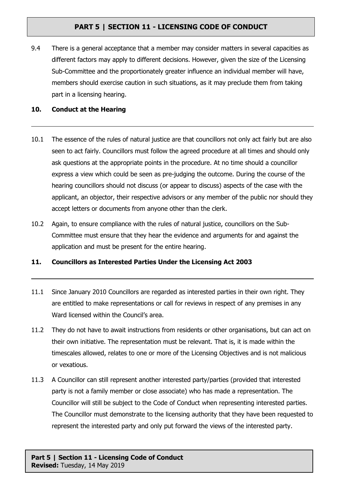9.4 There is a general acceptance that a member may consider matters in several capacities as different factors may apply to different decisions. However, given the size of the Licensing Sub-Committee and the proportionately greater influence an individual member will have, members should exercise caution in such situations, as it may preclude them from taking part in a licensing hearing.

## **10. Conduct at the Hearing**

- 10.1 The essence of the rules of natural justice are that councillors not only act fairly but are also seen to act fairly. Councillors must follow the agreed procedure at all times and should only ask questions at the appropriate points in the procedure. At no time should a councillor express a view which could be seen as pre-judging the outcome. During the course of the hearing councillors should not discuss (or appear to discuss) aspects of the case with the applicant, an objector, their respective advisors or any member of the public nor should they accept letters or documents from anyone other than the clerk.
- 10.2 Again, to ensure compliance with the rules of natural justice, councillors on the Sub-Committee must ensure that they hear the evidence and arguments for and against the application and must be present for the entire hearing.

## **11. Councillors as Interested Parties Under the Licensing Act 2003**

- 11.1 Since January 2010 Councillors are regarded as interested parties in their own right. They are entitled to make representations or call for reviews in respect of any premises in any Ward licensed within the Council's area.
- 11.2 They do not have to await instructions from residents or other organisations, but can act on their own initiative. The representation must be relevant. That is, it is made within the timescales allowed, relates to one or more of the Licensing Objectives and is not malicious or vexatious.
- 11.3 A Councillor can still represent another interested party/parties (provided that interested party is not a family member or close associate) who has made a representation. The Councillor will still be subject to the Code of Conduct when representing interested parties. The Councillor must demonstrate to the licensing authority that they have been requested to represent the interested party and only put forward the views of the interested party.